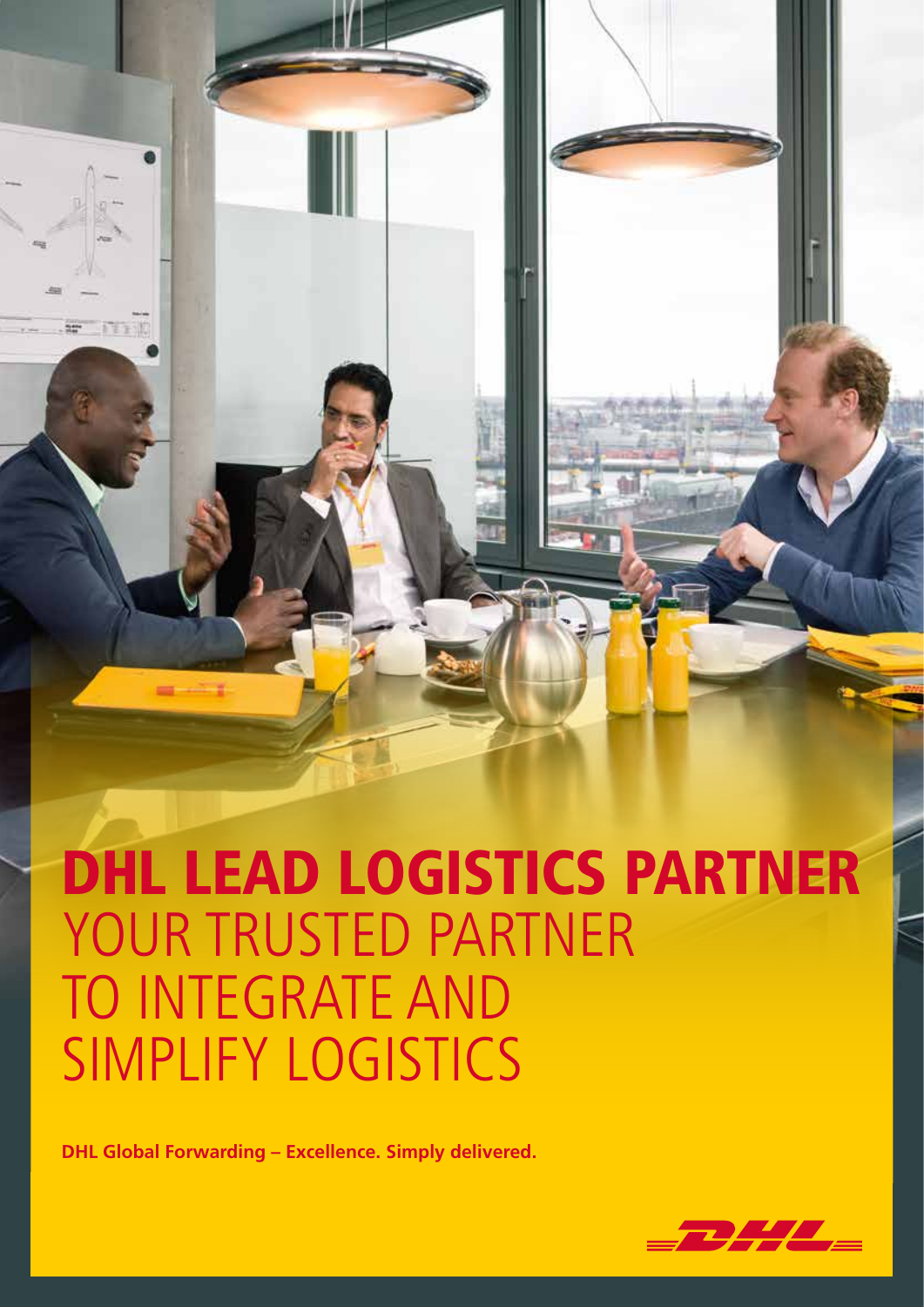# DHL LEAD LOGISTICS PARTNER YOUR TRUSTED PARTNER TO INTEGRATE AND SIMPLIFY LOGISTICS

**DHL Global Forwarding – Excellence. Simply delivered.**

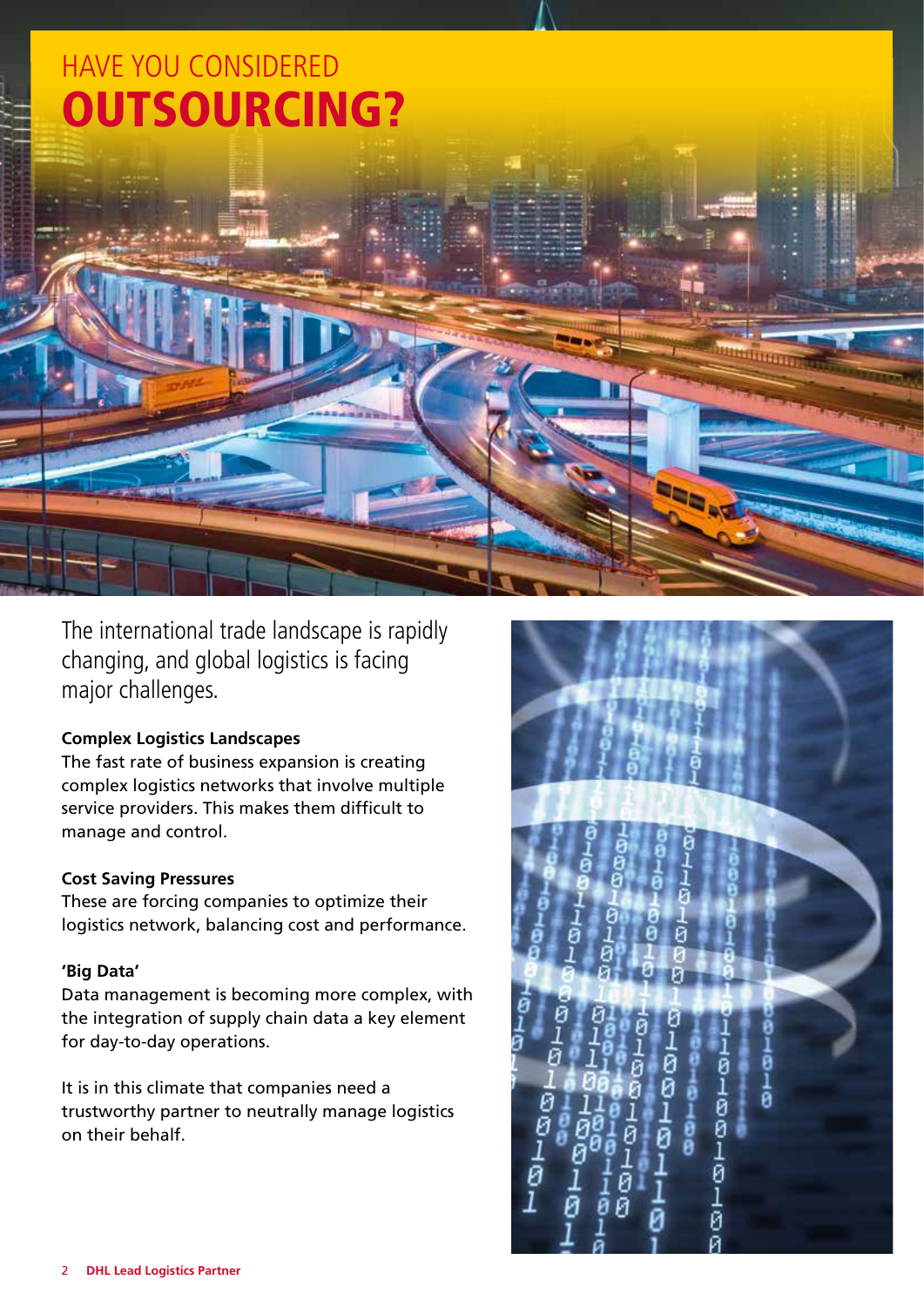

The international trade landscape is rapidly changing, and global logistics is facing major challenges.

#### **Complex Logistics Landscapes**

The fast rate of business expansion is creating complex logistics networks that involve multiple service providers. This makes them difficult to manage and control.

#### **Cost Saving Pressures**

These are forcing companies to optimize their logistics network, balancing cost and performance.

#### **'Big Data'**

Data management is becoming more complex, with the integration of supply chain data a key element for day-to-day operations.

It is in this climate that companies need a trustworthy partner to neutrally manage logistics on their behalf.

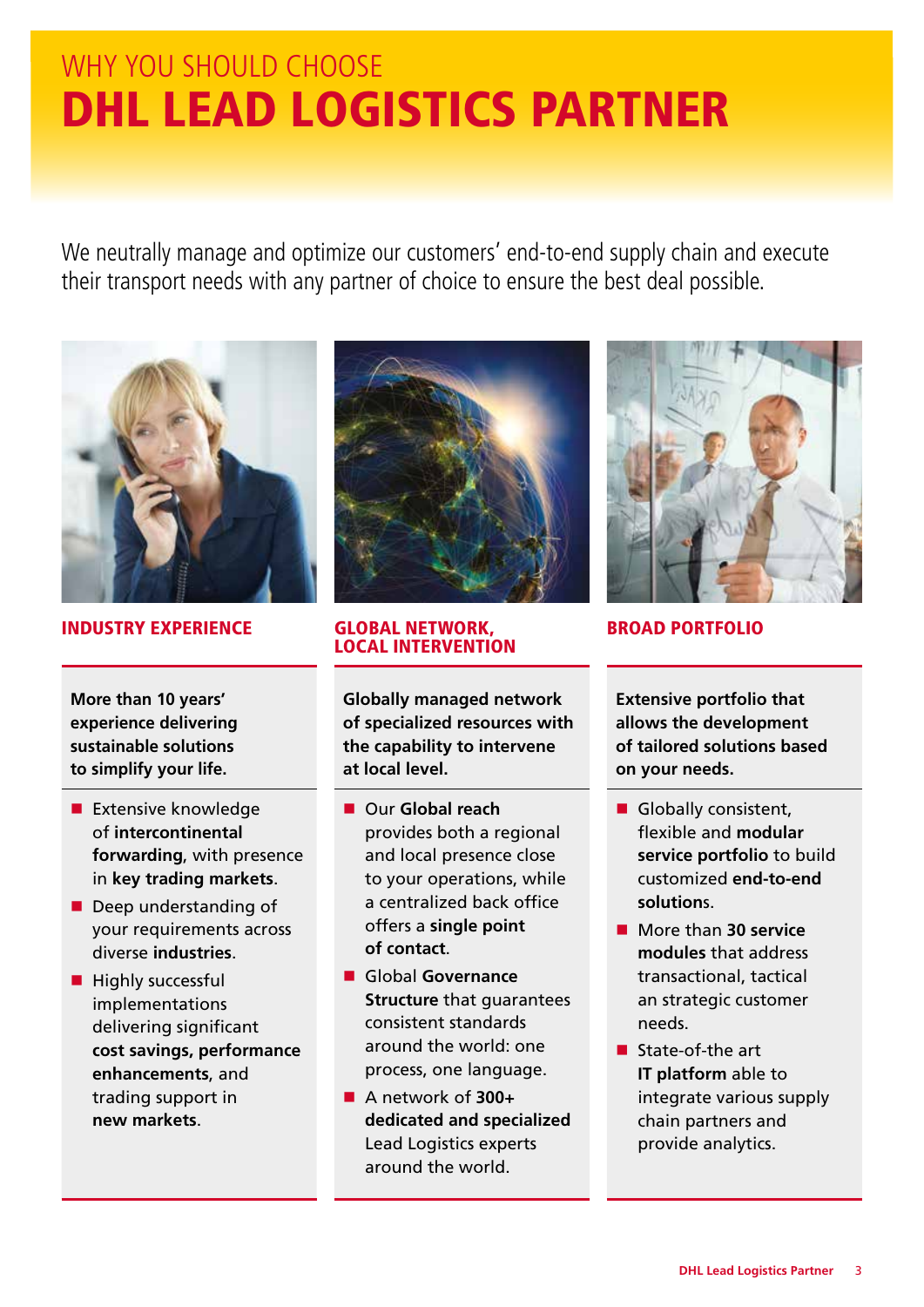## WHY YOU SHOULD CHOOSE DHL LEAD LOGISTICS PARTNER

We neutrally manage and optimize our customers' end-to-end supply chain and execute their transport needs with any partner of choice to ensure the best deal possible.



#### INDUSTRY EXPERIENCE GLOBAL NETWORK,

**More than 10 years' experience delivering sustainable solutions to simplify your life.**

- $\blacksquare$  Extensive knowledge of **intercontinental forwarding**, with presence in **key trading markets**.
- $\blacksquare$  Deep understanding of your requirements across diverse **industries**.
- $\blacksquare$  Highly successful implementations delivering significant **cost savings, performance enhancements**, and trading support in **new markets**.



### LOCAL INTERVENTION

**Globally managed network of specialized resources with the capability to intervene at local level.**

- n Our **Global reach** provides both a regional and local presence close to your operations, while a centralized back office offers a **single point of contact**.
- n Global **Governance Structure** that guarantees consistent standards around the world: one process, one language.
- A network of **300+ dedicated and specialized** Lead Logistics experts around the world.



BROAD PORTFOLIO

**Extensive portfolio that allows the development of tailored solutions based on your needs.**

- Globally consistent, flexible and **modular service portfolio** to build customized **end-to-end solution**s.
- **n** More than **30 service modules** that address transactional, tactical an strategic customer needs.
- $\blacksquare$  State-of-the art **IT platform** able to integrate various supply chain partners and provide analytics.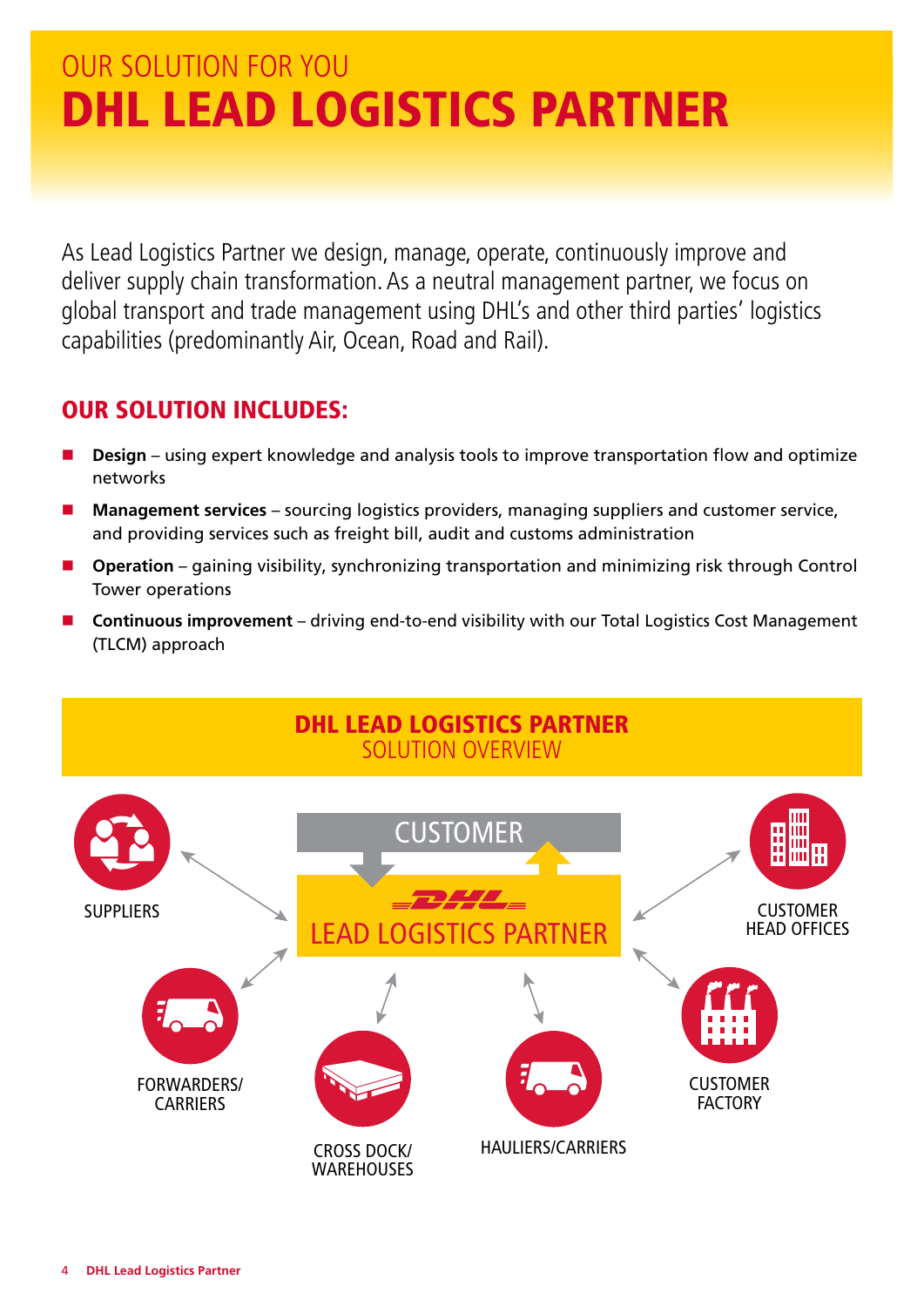### OUR SOLUTION FOR YOU DHL LEAD LOGISTICS PARTNER

As Lead Logistics Partner we design, manage, operate, continuously improve and deliver supply chain transformation. As a neutral management partner, we focus on global transport and trade management using DHL's and other third parties' logistics capabilities (predominantly Air, Ocean, Road and Rail).

#### OUR SOLUTION INCLUDES:

- **n Design** using expert knowledge and analysis tools to improve transportation flow and optimize networks
- n **Management services** sourcing logistics providers, managing suppliers and customer service, and providing services such as freight bill, audit and customs administration
- Operation gaining visibility, synchronizing transportation and minimizing risk through Control Tower operations
- n **Continuous improvement** driving end-to-end visibility with our Total Logistics Cost Management (TLCM) approach

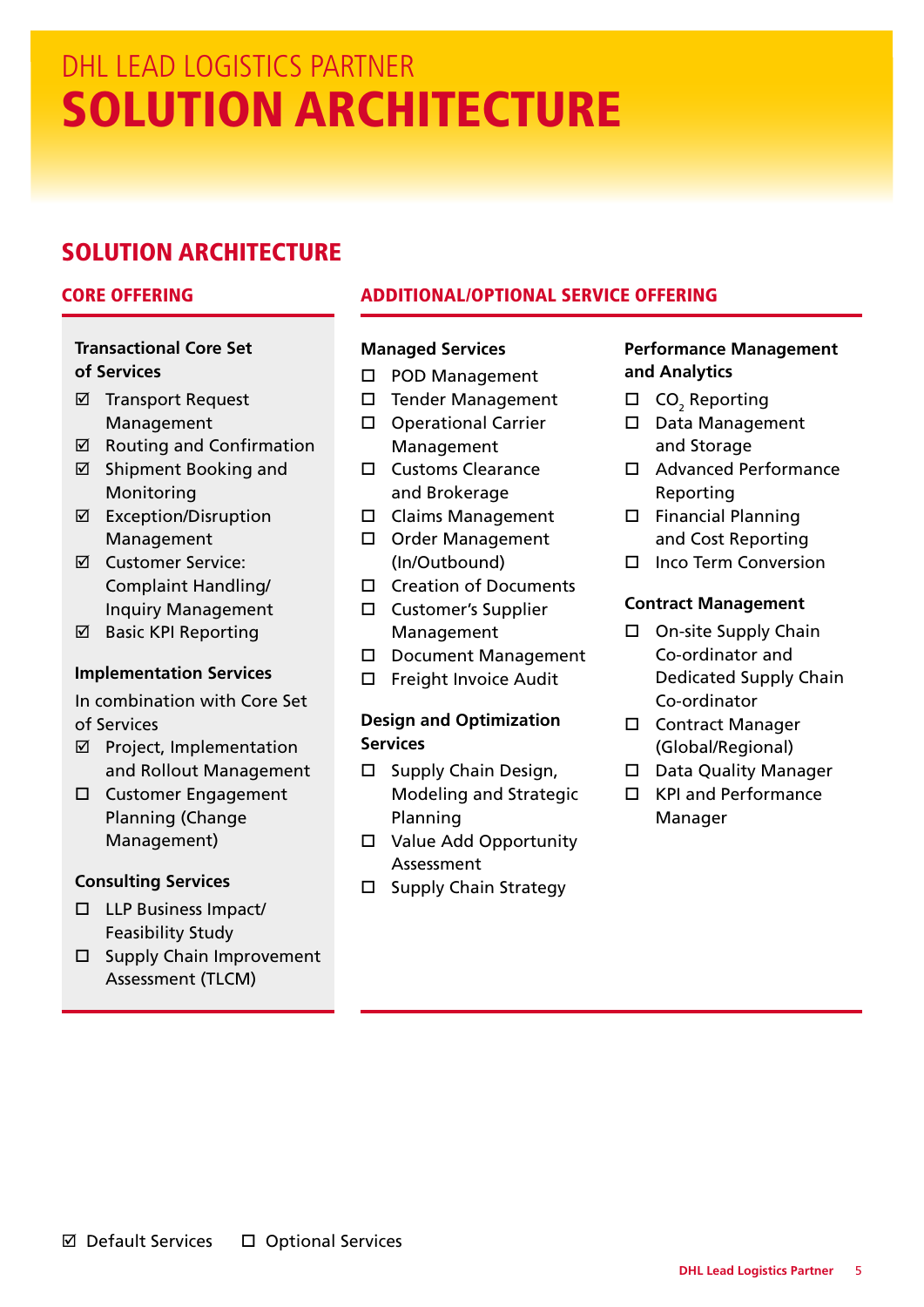### DHL LEAD LOGISTICS PARTNER SOLUTION ARCHITECTURE

### SOLUTION ARCHITECTURE

#### **Transactional Core Set of Services**

- **Ø** Transport Request Management
- $\boxtimes$  Routing and Confirmation  $\boxtimes$  Shipment Booking and
- Monitoring
- **Ø** Exception/Disruption Management
- þ Customer Service: Complaint Handling/ Inquiry Management
- **Ø** Basic KPI Reporting

#### **Implementation Services**

In combination with Core Set of Services

- **Ø** Project, Implementation and Rollout Management
- □ Customer Engagement Planning (Change Management)

#### **Consulting Services**

- $\square$  LLP Business Impact/ Feasibility Study
- $\square$  Supply Chain Improvement Assessment (TLCM)

#### CORE OFFERING ADDITIONAL/OPTIONAL SERVICE OFFERING

#### **Managed Services**

- D POD Management
- □ Tender Management
- □ Operational Carrier Management
- **O** Customs Clearance and Brokerage
- $\square$  Claims Management
- Order Management (In/Outbound)
- $\square$  Creation of Documents
- □ Customer's Supplier Management
- D Document Management
- $\square$  Freight Invoice Audit

#### **Design and Optimization Services**

- $\square$  Supply Chain Design, Modeling and Strategic Planning
- $\Box$  Value Add Opportunity Assessment
- $\square$  Supply Chain Strategy

#### **Performance Management and Analytics**

- $\square$  CO<sub>2</sub> Reporting
- D Data Management and Storage
- □ Advanced Performance Reporting
- $\square$  Financial Planning and Cost Reporting
- $\square$  Inco Term Conversion

#### **Contract Management**

- $\square$  On-site Supply Chain Co-ordinator and Dedicated Supply Chain Co-ordinator
- □ Contract Manager (Global/Regional)
- □ Data Quality Manager
- $\square$  KPI and Performance Manager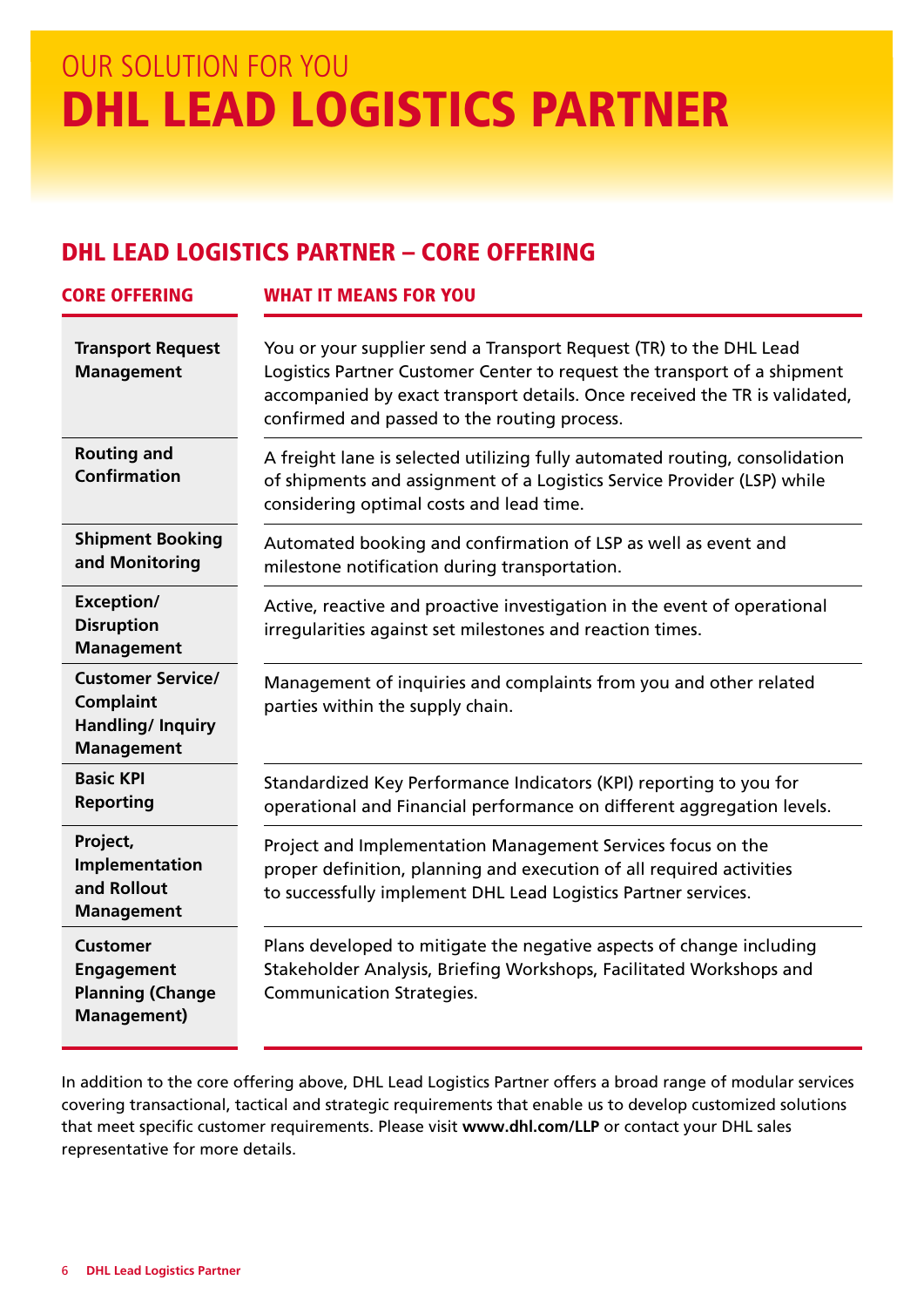### OUR SOLUTION FOR YOU DHL LEAD LOGISTICS PARTNER

#### DHL LEAD LOGISTICS PARTNER – CORE OFFERING

| <b>CORE OFFERING</b>                                                                   | <b>WHAT IT MEANS FOR YOU</b>                                                                                                                                                                                                                                                 |
|----------------------------------------------------------------------------------------|------------------------------------------------------------------------------------------------------------------------------------------------------------------------------------------------------------------------------------------------------------------------------|
| <b>Transport Request</b><br><b>Management</b>                                          | You or your supplier send a Transport Request (TR) to the DHL Lead<br>Logistics Partner Customer Center to request the transport of a shipment<br>accompanied by exact transport details. Once received the TR is validated,<br>confirmed and passed to the routing process. |
| <b>Routing and</b><br><b>Confirmation</b>                                              | A freight lane is selected utilizing fully automated routing, consolidation<br>of shipments and assignment of a Logistics Service Provider (LSP) while<br>considering optimal costs and lead time.                                                                           |
| <b>Shipment Booking</b><br>and Monitoring                                              | Automated booking and confirmation of LSP as well as event and<br>milestone notification during transportation.                                                                                                                                                              |
| Exception/<br><b>Disruption</b><br><b>Management</b>                                   | Active, reactive and proactive investigation in the event of operational<br>irregularities against set milestones and reaction times.                                                                                                                                        |
| <b>Customer Service/</b><br><b>Complaint</b><br>Handling/ Inquiry<br><b>Management</b> | Management of inquiries and complaints from you and other related<br>parties within the supply chain.                                                                                                                                                                        |
| <b>Basic KPI</b><br><b>Reporting</b>                                                   | Standardized Key Performance Indicators (KPI) reporting to you for<br>operational and Financial performance on different aggregation levels.                                                                                                                                 |
| Project,<br>Implementation<br>and Rollout<br><b>Management</b>                         | Project and Implementation Management Services focus on the<br>proper definition, planning and execution of all required activities<br>to successfully implement DHL Lead Logistics Partner services.                                                                        |
| <b>Customer</b><br><b>Engagement</b><br><b>Planning (Change</b><br><b>Management)</b>  | Plans developed to mitigate the negative aspects of change including<br>Stakeholder Analysis, Briefing Workshops, Facilitated Workshops and<br><b>Communication Strategies.</b>                                                                                              |

In addition to the core offering above, DHL Lead Logistics Partner offers a broad range of modular services covering transactional, tactical and strategic requirements that enable us to develop customized solutions that meet specific customer requirements. Please visit **www.dhl.com/LLP** or contact your DHL sales representative for more details.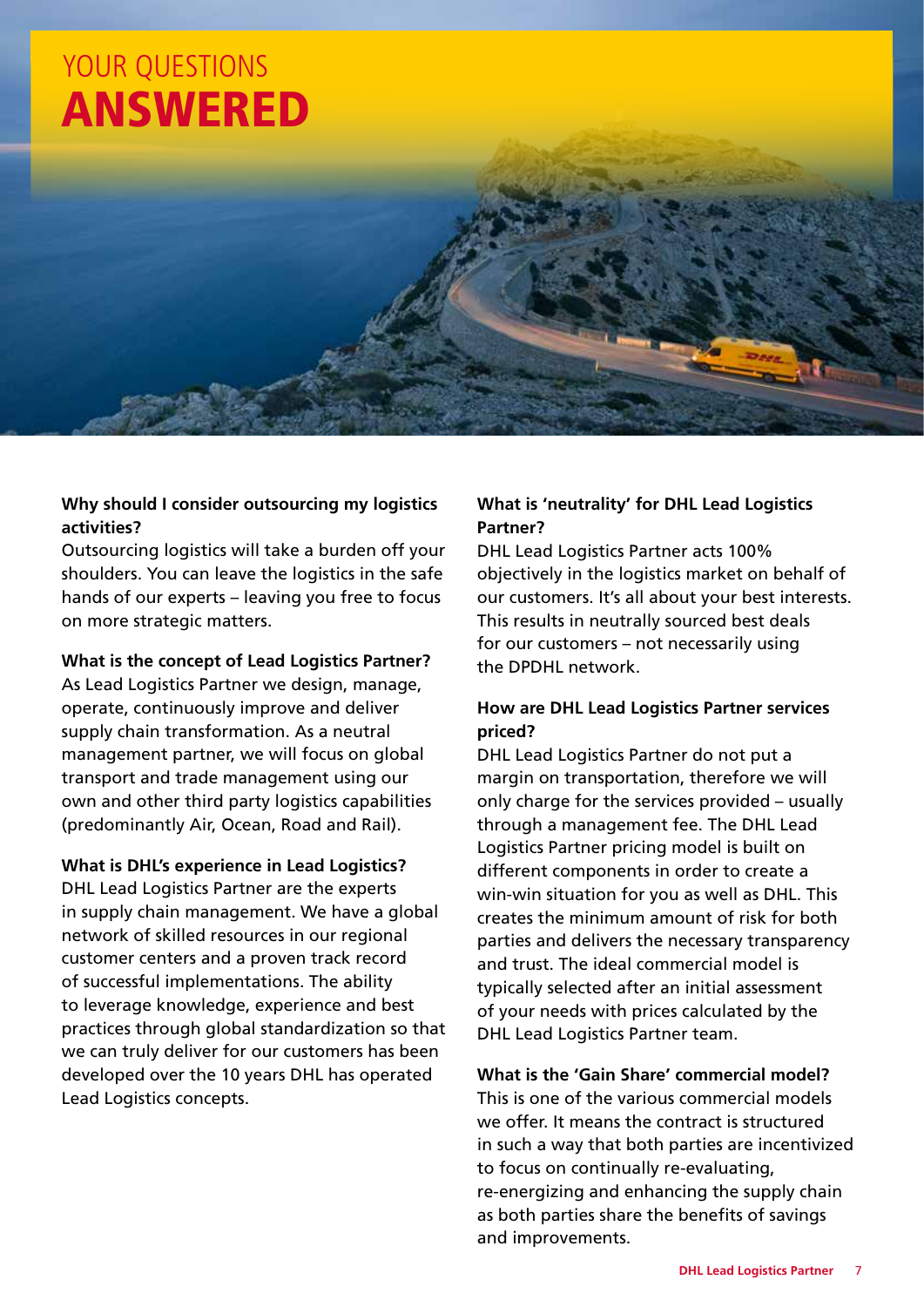

#### **Why should I consider outsourcing my logistics activities?**

Outsourcing logistics will take a burden off your shoulders. You can leave the logistics in the safe hands of our experts – leaving you free to focus on more strategic matters.

#### **What is the concept of Lead Logistics Partner?**

As Lead Logistics Partner we design, manage, operate, continuously improve and deliver supply chain transformation. As a neutral management partner, we will focus on global transport and trade management using our own and other third party logistics capabilities (predominantly Air, Ocean, Road and Rail).

#### **What is DHL's experience in Lead Logistics?**

DHL Lead Logistics Partner are the experts in supply chain management. We have a global network of skilled resources in our regional customer centers and a proven track record of successful implementations. The ability to leverage knowledge, experience and best practices through global standardization so that we can truly deliver for our customers has been developed over the 10 years DHL has operated Lead Logistics concepts.

#### **What is 'neutrality' for DHL Lead Logistics Partner?**

DHL Lead Logistics Partner acts 100% objectively in the logistics market on behalf of our customers. It's all about your best interests. This results in neutrally sourced best deals for our customers – not necessarily using the DPDHL network.

#### **How are DHL Lead Logistics Partner services priced?**

DHL Lead Logistics Partner do not put a margin on transportation, therefore we will only charge for the services provided – usually through a management fee. The DHL Lead Logistics Partner pricing model is built on different components in order to create a win-win situation for you as well as DHL. This creates the minimum amount of risk for both parties and delivers the necessary transparency and trust. The ideal commercial model is typically selected after an initial assessment of your needs with prices calculated by the DHL Lead Logistics Partner team.

**What is the 'Gain Share' commercial model?** This is one of the various commercial models we offer. It means the contract is structured in such a way that both parties are incentivized to focus on continually re-evaluating, re-energizing and enhancing the supply chain as both parties share the benefits of savings and improvements.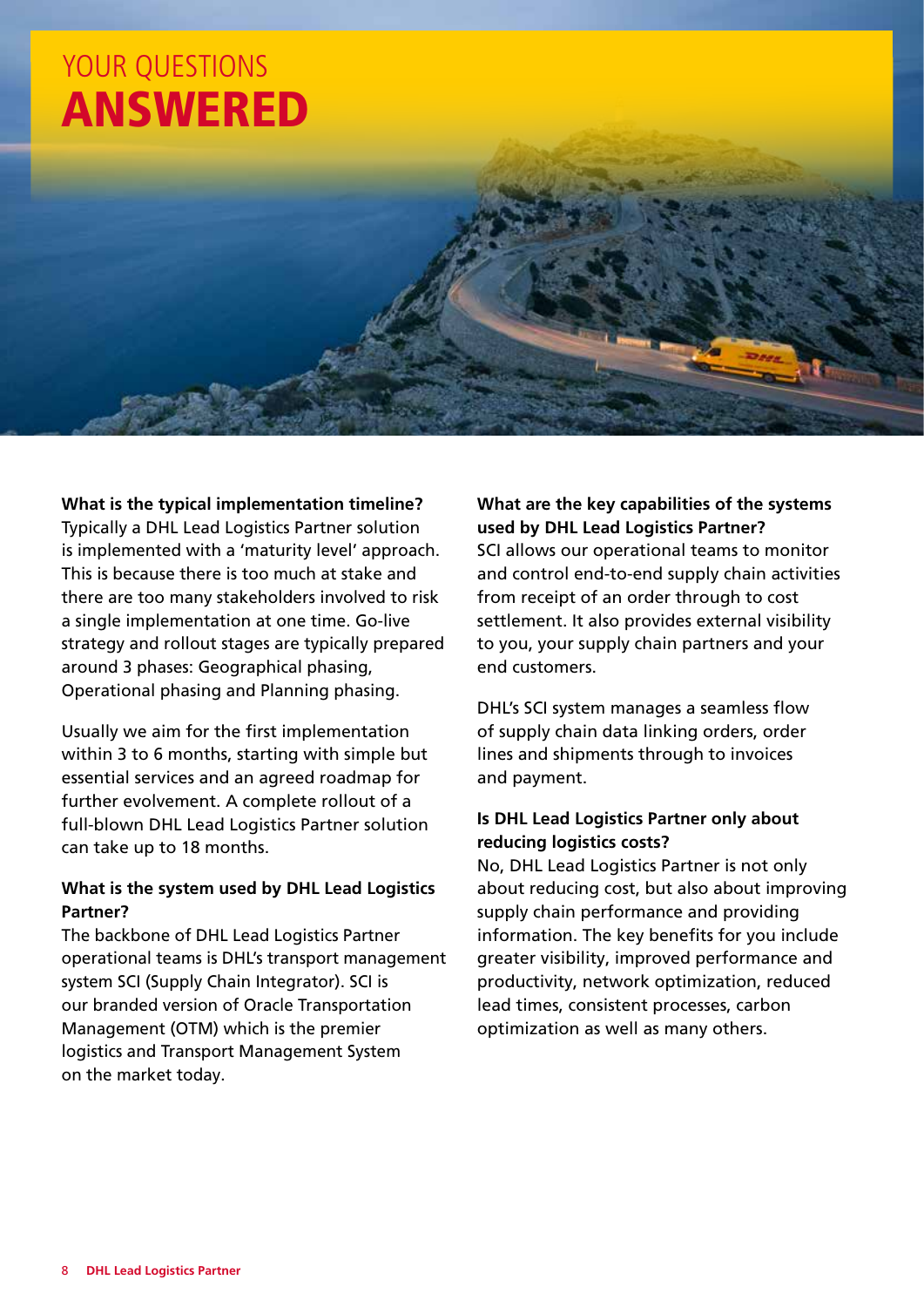

#### **What is the typical implementation timeline?**

Typically a DHL Lead Logistics Partner solution is implemented with a 'maturity level' approach. This is because there is too much at stake and there are too many stakeholders involved to risk a single implementation at one time. Go-live strategy and rollout stages are typically prepared around 3 phases: Geographical phasing, Operational phasing and Planning phasing.

Usually we aim for the first implementation within 3 to 6 months, starting with simple but essential services and an agreed roadmap for further evolvement. A complete rollout of a full-blown DHL Lead Logistics Partner solution can take up to 18 months.

#### **What is the system used by DHL Lead Logistics Partner?**

The backbone of DHL Lead Logistics Partner operational teams is DHL's transport management system SCI (Supply Chain Integrator). SCI is our branded version of Oracle Transportation Management (OTM) which is the premier logistics and Transport Management System on the market today.

**What are the key capabilities of the systems used by DHL Lead Logistics Partner?** SCI allows our operational teams to monitor and control end-to-end supply chain activities from receipt of an order through to cost settlement. It also provides external visibility to you, your supply chain partners and your

DHL's SCI system manages a seamless flow of supply chain data linking orders, order lines and shipments through to invoices and payment.

end customers.

#### **Is DHL Lead Logistics Partner only about reducing logistics costs?**

No, DHL Lead Logistics Partner is not only about reducing cost, but also about improving supply chain performance and providing information. The key benefits for you include greater visibility, improved performance and productivity, network optimization, reduced lead times, consistent processes, carbon optimization as well as many others.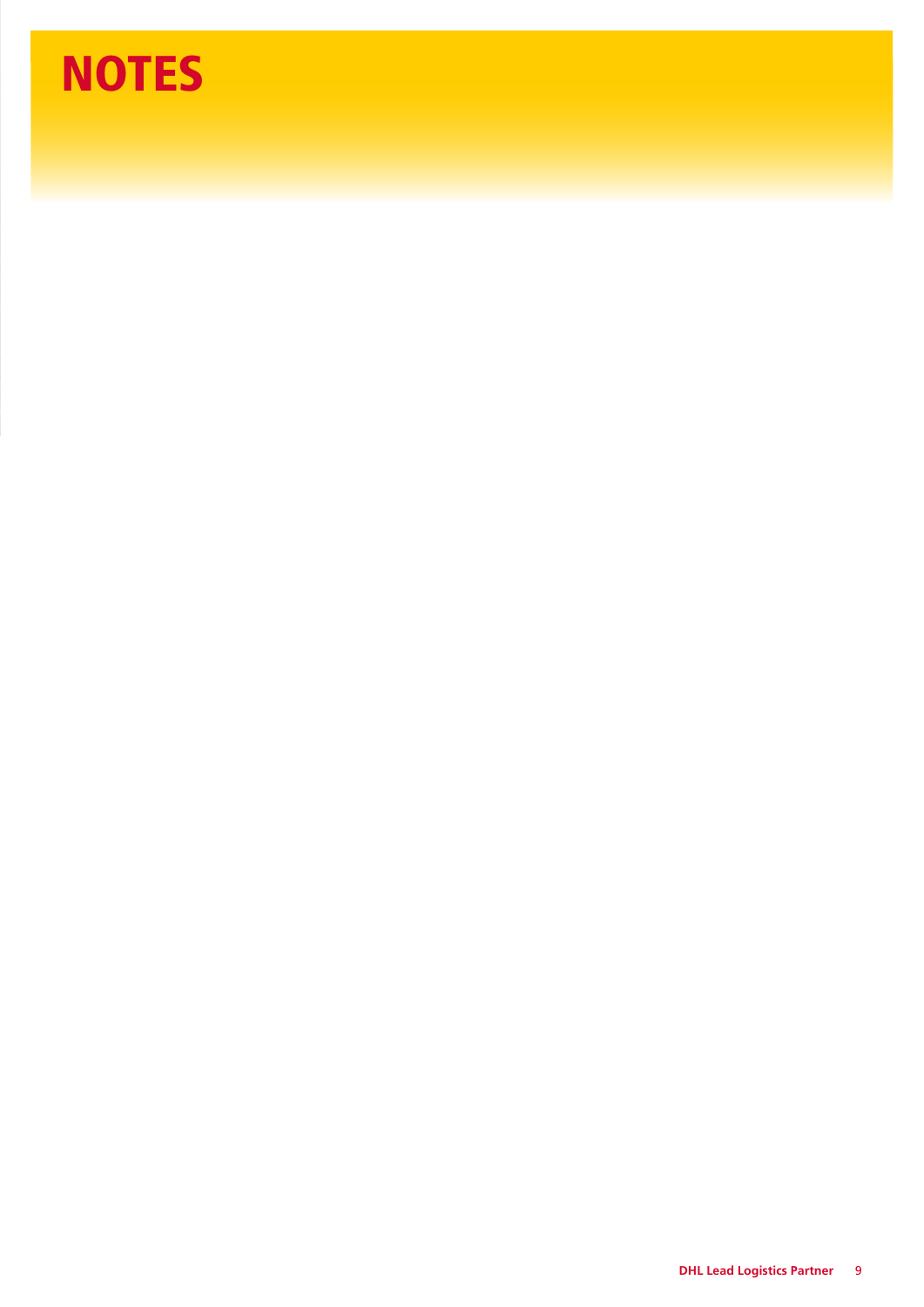